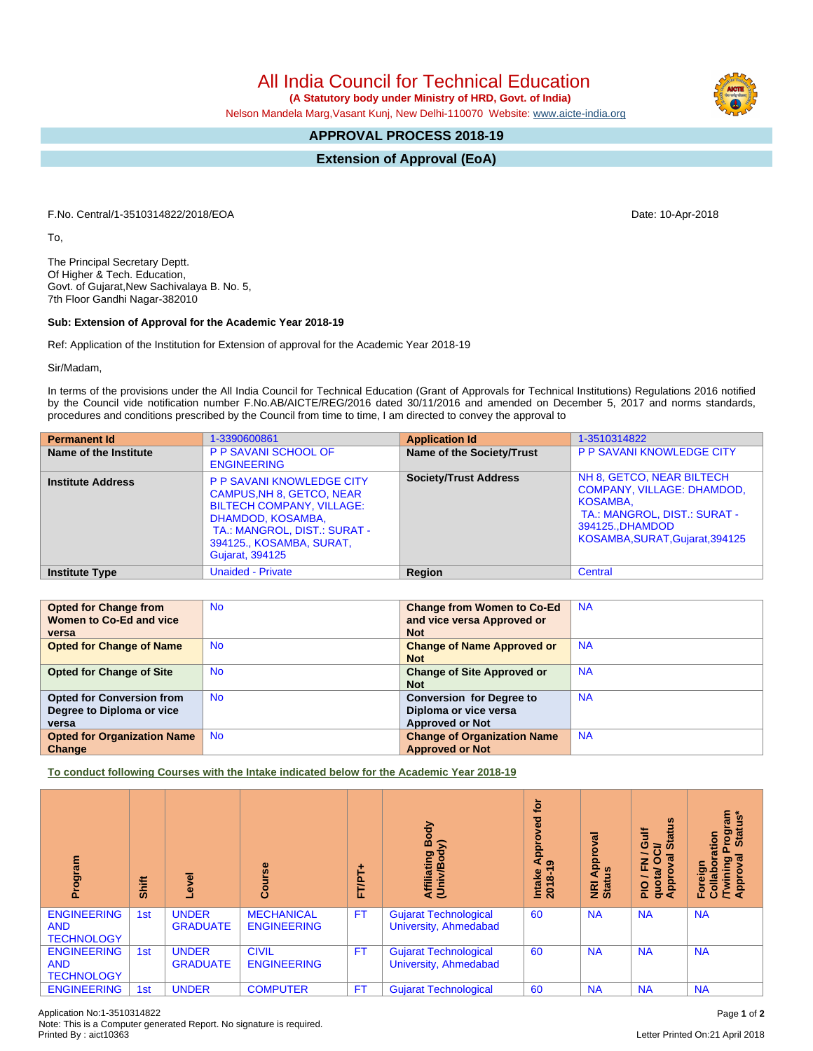## All India Council for Technical Education

 **(A Statutory body under Ministry of HRD, Govt. of India)**

Nelson Mandela Marg,Vasant Kunj, New Delhi-110070 Website: [www.aicte-india.org](http://www.aicte-india.org)

## **APPROVAL PROCESS 2018-19**

**Extension of Approval (EoA)**

F.No. Central/1-3510314822/2018/EOA Date: 10-Apr-2018

To,

The Principal Secretary Deptt. Of Higher & Tech. Education, Govt. of Gujarat,New Sachivalaya B. No. 5, 7th Floor Gandhi Nagar-382010

## **Sub: Extension of Approval for the Academic Year 2018-19**

Ref: Application of the Institution for Extension of approval for the Academic Year 2018-19

Sir/Madam,

In terms of the provisions under the All India Council for Technical Education (Grant of Approvals for Technical Institutions) Regulations 2016 notified by the Council vide notification number F.No.AB/AICTE/REG/2016 dated 30/11/2016 and amended on December 5, 2017 and norms standards, procedures and conditions prescribed by the Council from time to time, I am directed to convey the approval to

| <b>Permanent Id</b>      | 1-3390600861                                                                                                                                                                                                        | <b>Application Id</b>        | 1-3510314822                                                                                                                                                      |
|--------------------------|---------------------------------------------------------------------------------------------------------------------------------------------------------------------------------------------------------------------|------------------------------|-------------------------------------------------------------------------------------------------------------------------------------------------------------------|
| Name of the Institute    | P P SAVANI SCHOOL OF<br><b>ENGINEERING</b>                                                                                                                                                                          | Name of the Society/Trust    | <b>P P SAVANI KNOWLEDGE CITY</b>                                                                                                                                  |
| <b>Institute Address</b> | <b>P P SAVANI KNOWLEDGE CITY</b><br><b>CAMPUS, NH 8, GETCO, NEAR</b><br><b>BILTECH COMPANY, VILLAGE:</b><br>DHAMDOD, KOSAMBA,<br>TA.: MANGROL, DIST.: SURAT -<br>394125., KOSAMBA, SURAT,<br><b>Gujarat, 394125</b> | <b>Society/Trust Address</b> | NH 8, GETCO, NEAR BILTECH<br><b>COMPANY, VILLAGE: DHAMDOD,</b><br>KOSAMBA.<br>TA.: MANGROL, DIST.: SURAT -<br>394125., DHAMDOD<br>KOSAMBA, SURAT, Gujarat, 394125 |
| <b>Institute Type</b>    | <b>Unaided - Private</b>                                                                                                                                                                                            | Region                       | Central                                                                                                                                                           |

| <b>Opted for Change from</b>       | <b>No</b> | <b>Change from Women to Co-Ed</b>  | <b>NA</b> |
|------------------------------------|-----------|------------------------------------|-----------|
| Women to Co-Ed and vice            |           | and vice versa Approved or         |           |
| versa                              |           | <b>Not</b>                         |           |
| <b>Opted for Change of Name</b>    | <b>No</b> | <b>Change of Name Approved or</b>  | <b>NA</b> |
|                                    |           | <b>Not</b>                         |           |
| <b>Opted for Change of Site</b>    | <b>No</b> | <b>Change of Site Approved or</b>  | <b>NA</b> |
|                                    |           | <b>Not</b>                         |           |
| <b>Opted for Conversion from</b>   | <b>No</b> | <b>Conversion for Degree to</b>    | <b>NA</b> |
| Degree to Diploma or vice          |           | Diploma or vice versa              |           |
| versa                              |           | <b>Approved or Not</b>             |           |
| <b>Opted for Organization Name</b> | <b>No</b> | <b>Change of Organization Name</b> | <b>NA</b> |
| Change                             |           | <b>Approved or Not</b>             |           |

**To conduct following Courses with the Intake indicated below for the Academic Year 2018-19**

| rogram<br>ō                                           | Shift | g                               | $\frac{6}{5}$<br>Ō                      | FT/PT+    | Body<br>$\widehat{\phantom{a}}$<br>Affiliating<br>(Univ/Body | <b>b</b><br>g<br>قع<br>م¢<br>Intake<br>2018-1 | $\overline{\mathfrak{a}}$<br>윤<br><b>NRI Ap</b><br>Status | <b>Status</b><br>ā<br>⇒<br>ಸ<br>z<br>正<br>$\overline{\mathbf{e}}$<br><b>Appro</b><br>ğ<br>$rac{Q}{P}$<br>ਠ | rogram<br>Status*<br>noits:<br>ಸ<br>Foreign<br>Collabora<br>/Twining<br>Approval |
|-------------------------------------------------------|-------|---------------------------------|-----------------------------------------|-----------|--------------------------------------------------------------|-----------------------------------------------|-----------------------------------------------------------|------------------------------------------------------------------------------------------------------------|----------------------------------------------------------------------------------|
| <b>ENGINEERING</b><br><b>AND</b><br><b>TECHNOLOGY</b> | 1st   | <b>UNDER</b><br><b>GRADUATE</b> | <b>MECHANICAL</b><br><b>ENGINEERING</b> | <b>FT</b> | <b>Gujarat Technological</b><br>University, Ahmedabad        | 60                                            | <b>NA</b>                                                 | <b>NA</b>                                                                                                  | <b>NA</b>                                                                        |
| <b>ENGINEERING</b><br><b>AND</b><br><b>TECHNOLOGY</b> | 1st   | <b>UNDER</b><br><b>GRADUATE</b> | <b>CIVIL</b><br><b>ENGINEERING</b>      | <b>FT</b> | <b>Gujarat Technological</b><br>University, Ahmedabad        | 60                                            | <b>NA</b>                                                 | <b>NA</b>                                                                                                  | <b>NA</b>                                                                        |
| <b>ENGINEERING</b>                                    | 1st   | <b>UNDER</b>                    | <b>COMPUTER</b>                         | <b>FT</b> | <b>Gujarat Technological</b>                                 | 60                                            | <b>NA</b>                                                 | <b>NA</b>                                                                                                  | <b>NA</b>                                                                        |

Letter Printed On:21 April 2018